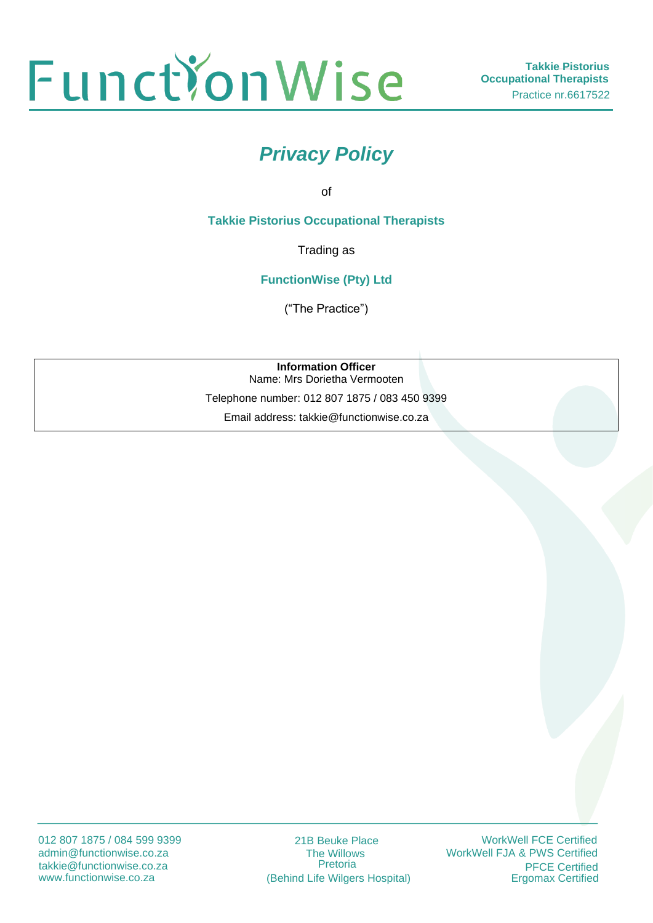

# *Privacy Policy*

of

**Takkie Pistorius Occupational Therapists**

Trading as

**FunctionWise (Pty) Ltd**

("The Practice")

**Information Officer** Name: Mrs Dorietha Vermooten

Telephone number: 012 807 1875 / 083 450 9399

Email address: takkie@functionwise.co.za

012 807 1875 / 084 599 9399 admin@functionwise.co.za www.functionwise.co.za takkie@functionwise.co.za

21B Beuke Place The Willows Pretoria (Behind Life Wilgers Hospital)

WorkWell FCE Certified WorkWell FJA & PWS Certified **PFCE Certified**<br>Ergomax Certified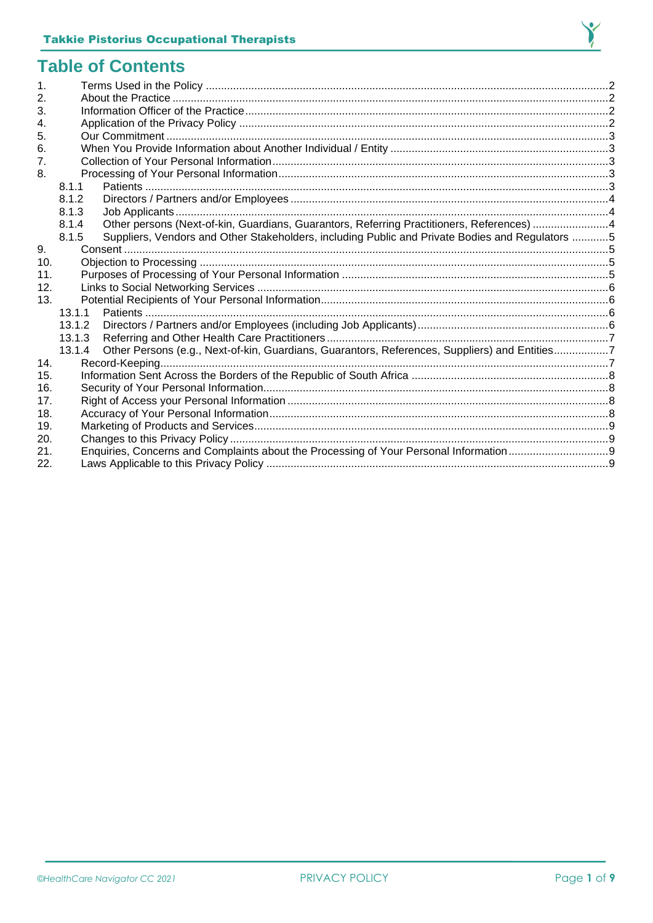

#### **Table of Contents**

| $\mathbf 1$ . |                                                                                                          |  |
|---------------|----------------------------------------------------------------------------------------------------------|--|
| 2.            |                                                                                                          |  |
| 3.            |                                                                                                          |  |
| 4.            |                                                                                                          |  |
| 5.            |                                                                                                          |  |
| 6.            |                                                                                                          |  |
| 7.            |                                                                                                          |  |
| 8.            |                                                                                                          |  |
|               | 8.1.1                                                                                                    |  |
|               | 8.1.2                                                                                                    |  |
|               | 8.1.3                                                                                                    |  |
|               | Other persons (Next-of-kin, Guardians, Guarantors, Referring Practitioners, References) 4<br>8.1.4       |  |
|               | Suppliers, Vendors and Other Stakeholders, including Public and Private Bodies and Regulators 5<br>8.1.5 |  |
| 9.            |                                                                                                          |  |
| 10.           |                                                                                                          |  |
| 11.           |                                                                                                          |  |
| 12.           |                                                                                                          |  |
| 13.           |                                                                                                          |  |
|               | 13.1.1                                                                                                   |  |
|               | 13.1.2                                                                                                   |  |
|               | 13.1.3                                                                                                   |  |
|               | Other Persons (e.g., Next-of-kin, Guardians, Guarantors, References, Suppliers) and Entities7<br>13.1.4  |  |
| 14.           |                                                                                                          |  |
| 15.           |                                                                                                          |  |
| 16.           |                                                                                                          |  |
| 17.           |                                                                                                          |  |
| 18.           |                                                                                                          |  |
| 19.           |                                                                                                          |  |
| 20.           |                                                                                                          |  |
| 21.           |                                                                                                          |  |
| 22.           |                                                                                                          |  |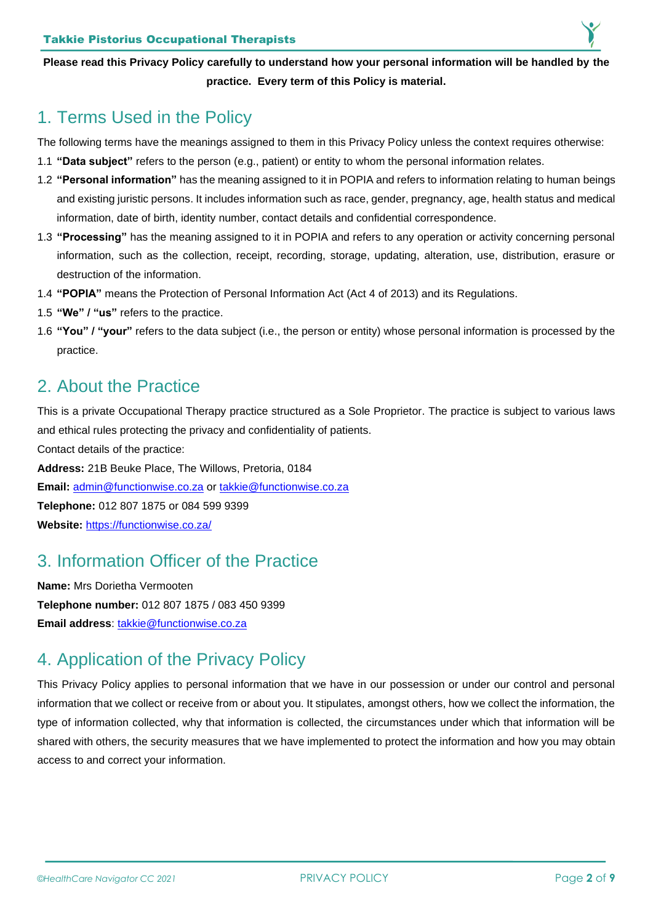**Please read this Privacy Policy carefully to understand how your personal information will be handled by the practice. Every term of this Policy is material.**

#### <span id="page-2-0"></span>1. Terms Used in the Policy

The following terms have the meanings assigned to them in this Privacy Policy unless the context requires otherwise:

- 1.1 **"Data subject"** refers to the person (e.g., patient) or entity to whom the personal information relates.
- 1.2 **"Personal information"** has the meaning assigned to it in POPIA and refers to information relating to human beings and existing juristic persons. It includes information such as race, gender, pregnancy, age, health status and medical information, date of birth, identity number, contact details and confidential correspondence.
- 1.3 **"Processing"** has the meaning assigned to it in POPIA and refers to any operation or activity concerning personal information, such as the collection, receipt, recording, storage, updating, alteration, use, distribution, erasure or destruction of the information.
- 1.4 **"POPIA"** means the Protection of Personal Information Act (Act 4 of 2013) and its Regulations.
- 1.5 **"We" / "us"** refers to the practice.
- 1.6 **"You" / "your"** refers to the data subject (i.e., the person or entity) whose personal information is processed by the practice.

#### <span id="page-2-1"></span>2. About the Practice

This is a private Occupational Therapy practice structured as a Sole Proprietor. The practice is subject to various laws and ethical rules protecting the privacy and confidentiality of patients.

Contact details of the practice:

**Address:** 21B Beuke Place, The Willows, Pretoria, 0184

**Email:** [admin@functionwise.co.za](mailto:admin@functionwise.co.za) or [takkie@functionwise.co.za](mailto:takkie@functionwise.co.za)

**Telephone:** 012 807 1875 or 084 599 9399

**Website:** <https://functionwise.co.za/>

### <span id="page-2-2"></span>3. Information Officer of the Practice

**Name:** Mrs Dorietha Vermooten **Telephone number:** 012 807 1875 / 083 450 9399 **Email address**: [takkie@functionwise.co.za](mailto:takkie@functionwise.co.za)

## <span id="page-2-3"></span>4. Application of the Privacy Policy

This Privacy Policy applies to personal information that we have in our possession or under our control and personal information that we collect or receive from or about you. It stipulates, amongst others, how we collect the information, the type of information collected, why that information is collected, the circumstances under which that information will be shared with others, the security measures that we have implemented to protect the information and how you may obtain access to and correct your information.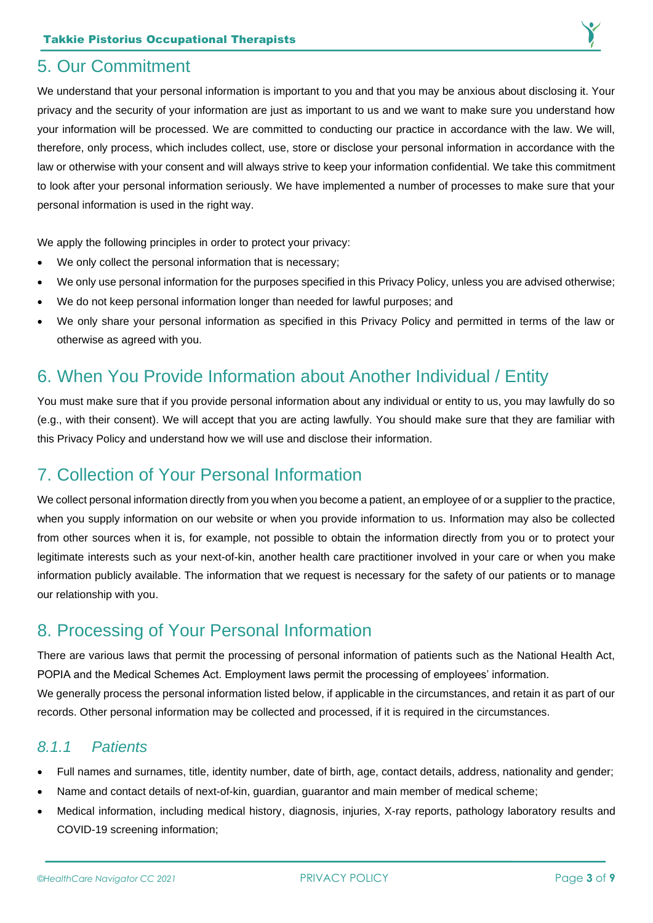

#### <span id="page-3-0"></span>5. Our Commitment

We understand that your personal information is important to you and that you may be anxious about disclosing it. Your privacy and the security of your information are just as important to us and we want to make sure you understand how your information will be processed. We are committed to conducting our practice in accordance with the law. We will, therefore, only process, which includes collect, use, store or disclose your personal information in accordance with the law or otherwise with your consent and will always strive to keep your information confidential. We take this commitment to look after your personal information seriously. We have implemented a number of processes to make sure that your personal information is used in the right way.

We apply the following principles in order to protect your privacy:

- We only collect the personal information that is necessary;
- We only use personal information for the purposes specified in this Privacy Policy, unless you are advised otherwise;
- We do not keep personal information longer than needed for lawful purposes; and
- We only share your personal information as specified in this Privacy Policy and permitted in terms of the law or otherwise as agreed with you.

### <span id="page-3-1"></span>6. When You Provide Information about Another Individual / Entity

You must make sure that if you provide personal information about any individual or entity to us, you may lawfully do so (e.g., with their consent). We will accept that you are acting lawfully. You should make sure that they are familiar with this Privacy Policy and understand how we will use and disclose their information.

## <span id="page-3-2"></span>7. Collection of Your Personal Information

We collect personal information directly from you when you become a patient, an employee of or a supplier to the practice, when you supply information on our website or when you provide information to us. Information may also be collected from other sources when it is, for example, not possible to obtain the information directly from you or to protect your legitimate interests such as your next-of-kin, another health care practitioner involved in your care or when you make information publicly available. The information that we request is necessary for the safety of our patients or to manage our relationship with you.

## <span id="page-3-3"></span>8. Processing of Your Personal Information

There are various laws that permit the processing of personal information of patients such as the National Health Act, POPIA and the Medical Schemes Act. Employment laws permit the processing of employees' information. We generally process the personal information listed below, if applicable in the circumstances, and retain it as part of our records. Other personal information may be collected and processed, if it is required in the circumstances.

#### <span id="page-3-4"></span>*8.1.1 Patients*

- Full names and surnames, title, identity number, date of birth, age, contact details, address, nationality and gender;
- Name and contact details of next-of-kin, guardian, guarantor and main member of medical scheme;
- Medical information, including medical history, diagnosis, injuries, X-ray reports, pathology laboratory results and COVID-19 screening information;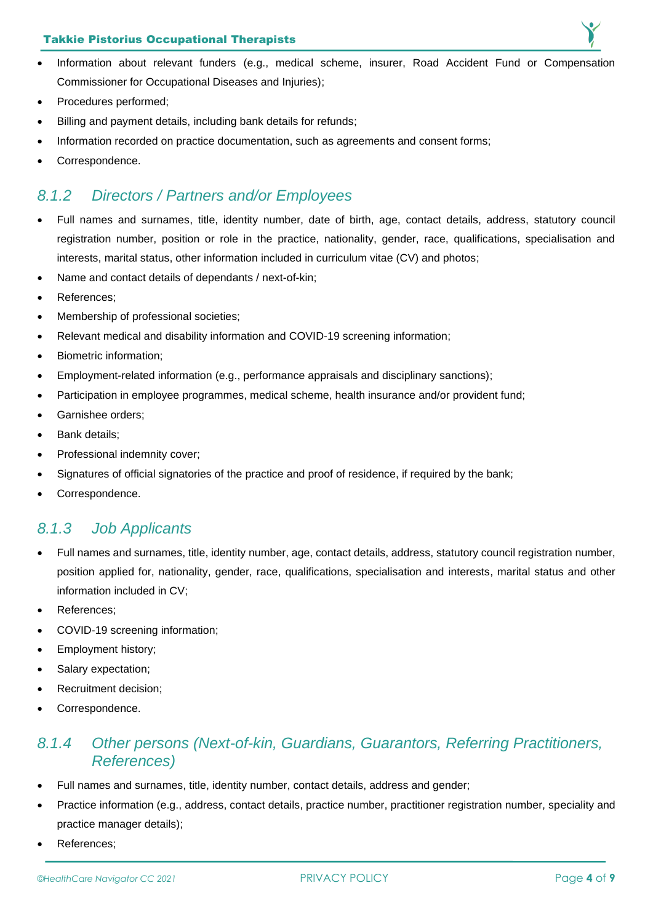#### Takkie Pistorius Occupational Therapists

- Information about relevant funders (e.g., medical scheme, insurer, Road Accident Fund or Compensation Commissioner for Occupational Diseases and Injuries);
- Procedures performed;
- Billing and payment details, including bank details for refunds;
- Information recorded on practice documentation, such as agreements and consent forms:
- Correspondence.

#### <span id="page-4-0"></span>*8.1.2 Directors / Partners and/or Employees*

- Full names and surnames, title, identity number, date of birth, age, contact details, address, statutory council registration number, position or role in the practice, nationality, gender, race, qualifications, specialisation and interests, marital status, other information included in curriculum vitae (CV) and photos;
- Name and contact details of dependants / next-of-kin:
- References:
- Membership of professional societies;
- Relevant medical and disability information and COVID-19 screening information;
- Biometric information;
- Employment-related information (e.g., performance appraisals and disciplinary sanctions);
- Participation in employee programmes, medical scheme, health insurance and/or provident fund;
- Garnishee orders:
- Bank details;
- Professional indemnity cover;
- Signatures of official signatories of the practice and proof of residence, if required by the bank;
- Correspondence.

#### <span id="page-4-1"></span>*8.1.3 Job Applicants*

- Full names and surnames, title, identity number, age, contact details, address, statutory council registration number, position applied for, nationality, gender, race, qualifications, specialisation and interests, marital status and other information included in CV;
- References:
- COVID-19 screening information;
- Employment history;
- Salary expectation;
- Recruitment decision;
- Correspondence.

#### <span id="page-4-2"></span>*8.1.4 Other persons (Next-of-kin, Guardians, Guarantors, Referring Practitioners, References)*

- Full names and surnames, title, identity number, contact details, address and gender;
- Practice information (e.g., address, contact details, practice number, practitioner registration number, speciality and practice manager details);
- References;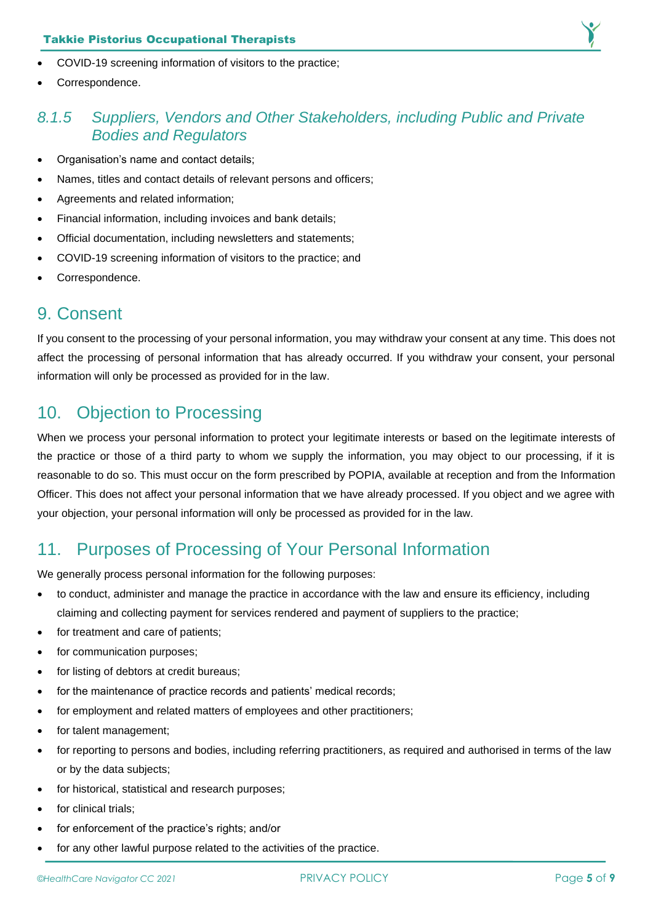

- COVID-19 screening information of visitors to the practice;
- Correspondence.

#### <span id="page-5-0"></span>*8.1.5 Suppliers, Vendors and Other Stakeholders, including Public and Private Bodies and Regulators*

- Organisation's name and contact details;
- Names, titles and contact details of relevant persons and officers;
- Agreements and related information;
- Financial information, including invoices and bank details;
- Official documentation, including newsletters and statements;
- COVID-19 screening information of visitors to the practice; and
- Correspondence.

#### <span id="page-5-1"></span>9. Consent

If you consent to the processing of your personal information, you may withdraw your consent at any time. This does not affect the processing of personal information that has already occurred. If you withdraw your consent, your personal information will only be processed as provided for in the law.

### <span id="page-5-2"></span>10. Objection to Processing

When we process your personal information to protect your legitimate interests or based on the legitimate interests of the practice or those of a third party to whom we supply the information, you may object to our processing, if it is reasonable to do so. This must occur on the form prescribed by POPIA, available at reception and from the Information Officer. This does not affect your personal information that we have already processed. If you object and we agree with your objection, your personal information will only be processed as provided for in the law.

## <span id="page-5-3"></span>11. Purposes of Processing of Your Personal Information

We generally process personal information for the following purposes:

- to conduct, administer and manage the practice in accordance with the law and ensure its efficiency, including claiming and collecting payment for services rendered and payment of suppliers to the practice;
- for treatment and care of patients;
- for communication purposes;
- for listing of debtors at credit bureaus;
- for the maintenance of practice records and patients' medical records;
- for employment and related matters of employees and other practitioners;
- for talent management;
- for reporting to persons and bodies, including referring practitioners, as required and authorised in terms of the law or by the data subjects;
- for historical, statistical and research purposes:
- for clinical trials:
- for enforcement of the practice's rights; and/or
- for any other lawful purpose related to the activities of the practice.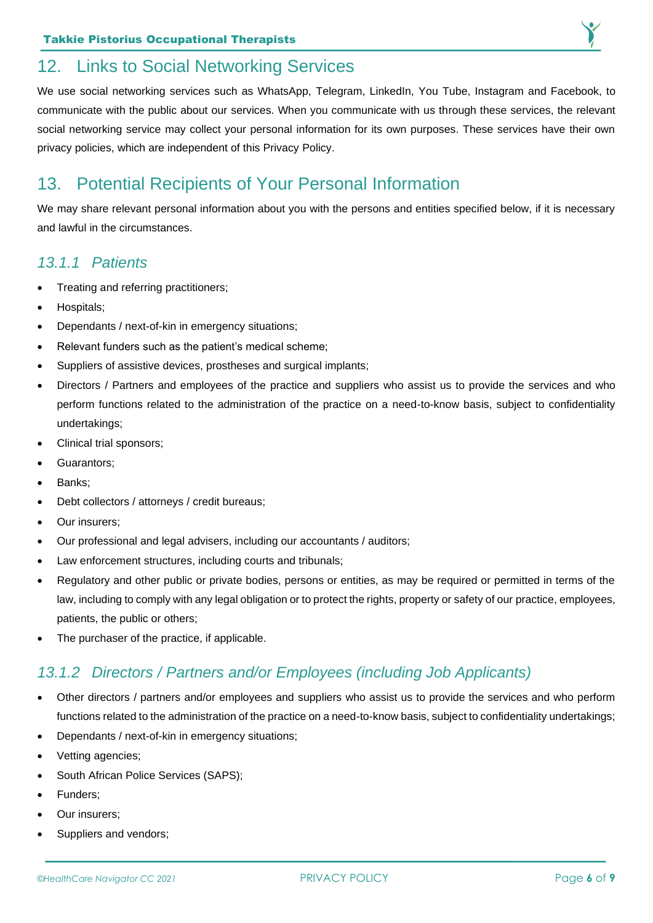<span id="page-6-0"></span>

We use social networking services such as WhatsApp, Telegram, LinkedIn, You Tube, Instagram and Facebook, to communicate with the public about our services. When you communicate with us through these services, the relevant social networking service may collect your personal information for its own purposes. These services have their own privacy policies, which are independent of this Privacy Policy.

### <span id="page-6-1"></span>13. Potential Recipients of Your Personal Information

We may share relevant personal information about you with the persons and entities specified below, if it is necessary and lawful in the circumstances.

#### <span id="page-6-2"></span>*13.1.1 Patients*

- Treating and referring practitioners;
- Hospitals;
- Dependants / next-of-kin in emergency situations;
- Relevant funders such as the patient's medical scheme;
- Suppliers of assistive devices, prostheses and surgical implants;
- Directors / Partners and employees of the practice and suppliers who assist us to provide the services and who perform functions related to the administration of the practice on a need-to-know basis, subject to confidentiality undertakings;
- Clinical trial sponsors;
- Guarantors;
- Banks:
- Debt collectors / attorneys / credit bureaus;
- Our insurers:
- Our professional and legal advisers, including our accountants / auditors;
- Law enforcement structures, including courts and tribunals;
- Regulatory and other public or private bodies, persons or entities, as may be required or permitted in terms of the law, including to comply with any legal obligation or to protect the rights, property or safety of our practice, employees, patients, the public or others;
- The purchaser of the practice, if applicable.

#### <span id="page-6-3"></span>*13.1.2 Directors / Partners and/or Employees (including Job Applicants)*

- Other directors / partners and/or employees and suppliers who assist us to provide the services and who perform functions related to the administration of the practice on a need-to-know basis, subject to confidentiality undertakings;
- Dependants / next-of-kin in emergency situations;
- Vetting agencies;
- South African Police Services (SAPS);
- Funders;
- Our insurers;
- Suppliers and vendors;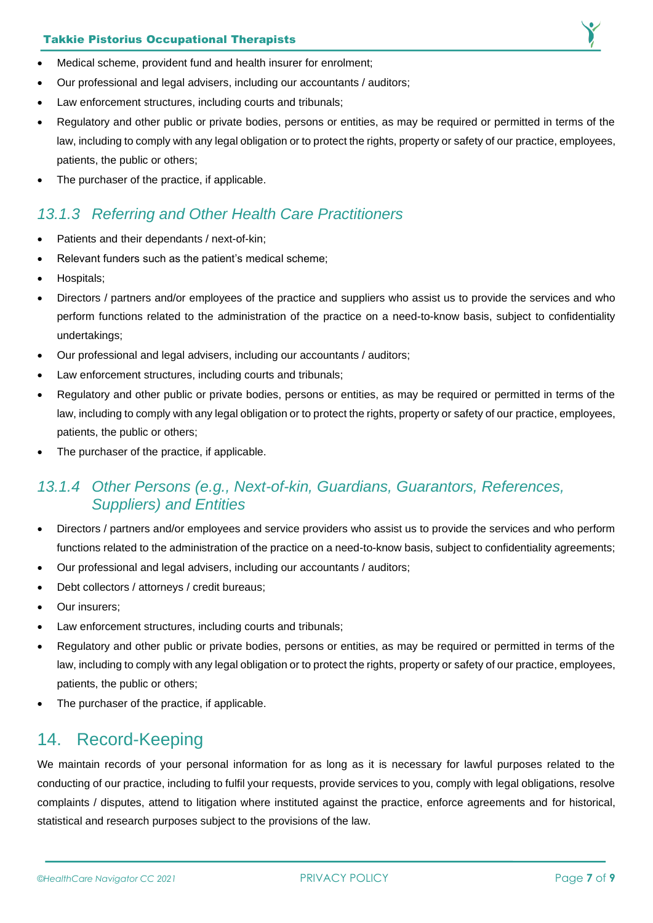#### Takkie Pistorius Occupational Therapists



- Medical scheme, provident fund and health insurer for enrolment;
- Our professional and legal advisers, including our accountants / auditors;
- Law enforcement structures, including courts and tribunals;
- Regulatory and other public or private bodies, persons or entities, as may be required or permitted in terms of the law, including to comply with any legal obligation or to protect the rights, property or safety of our practice, employees, patients, the public or others;
- The purchaser of the practice, if applicable.

#### <span id="page-7-0"></span>*13.1.3 Referring and Other Health Care Practitioners*

- Patients and their dependants / next-of-kin;
- Relevant funders such as the patient's medical scheme;
- Hospitals;
- Directors / partners and/or employees of the practice and suppliers who assist us to provide the services and who perform functions related to the administration of the practice on a need-to-know basis, subject to confidentiality undertakings;
- Our professional and legal advisers, including our accountants / auditors;
- Law enforcement structures, including courts and tribunals;
- Regulatory and other public or private bodies, persons or entities, as may be required or permitted in terms of the law, including to comply with any legal obligation or to protect the rights, property or safety of our practice, employees, patients, the public or others;
- The purchaser of the practice, if applicable.

#### <span id="page-7-1"></span>*13.1.4 Other Persons (e.g., Next-of-kin, Guardians, Guarantors, References, Suppliers) and Entities*

- Directors / partners and/or employees and service providers who assist us to provide the services and who perform functions related to the administration of the practice on a need-to-know basis, subject to confidentiality agreements;
- Our professional and legal advisers, including our accountants / auditors;
- Debt collectors / attorneys / credit bureaus;
- Our insurers:
- Law enforcement structures, including courts and tribunals;
- Regulatory and other public or private bodies, persons or entities, as may be required or permitted in terms of the law, including to comply with any legal obligation or to protect the rights, property or safety of our practice, employees, patients, the public or others;
- The purchaser of the practice, if applicable.

#### <span id="page-7-2"></span>14. Record-Keeping

We maintain records of your personal information for as long as it is necessary for lawful purposes related to the conducting of our practice, including to fulfil your requests, provide services to you, comply with legal obligations, resolve complaints / disputes, attend to litigation where instituted against the practice, enforce agreements and for historical, statistical and research purposes subject to the provisions of the law.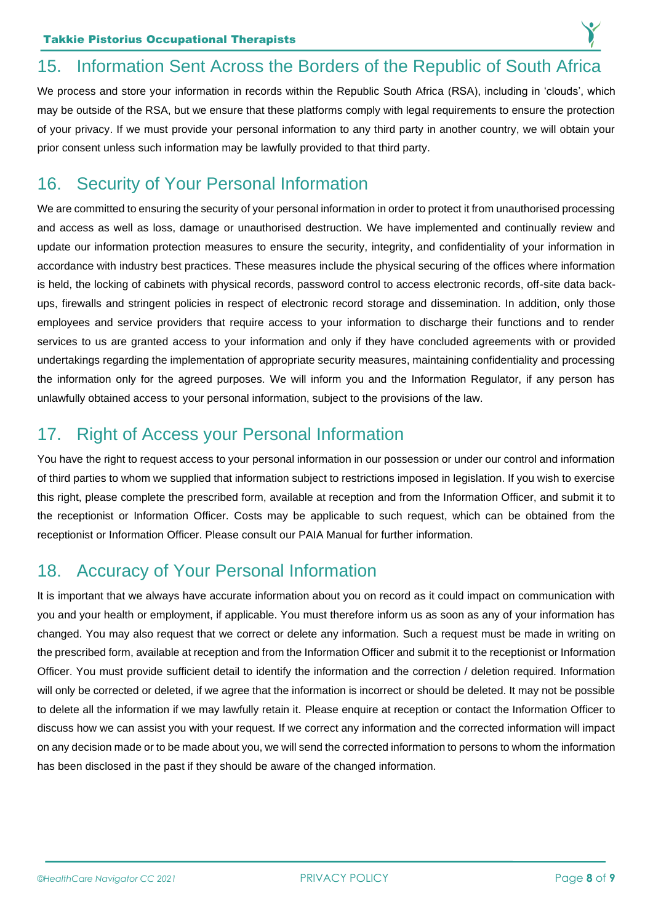## <span id="page-8-0"></span>15. Information Sent Across the Borders of the Republic of South Africa

We process and store your information in records within the Republic South Africa (RSA), including in 'clouds', which may be outside of the RSA, but we ensure that these platforms comply with legal requirements to ensure the protection of your privacy. If we must provide your personal information to any third party in another country, we will obtain your prior consent unless such information may be lawfully provided to that third party.

### <span id="page-8-1"></span>16. Security of Your Personal Information

We are committed to ensuring the security of your personal information in order to protect it from unauthorised processing and access as well as loss, damage or unauthorised destruction. We have implemented and continually review and update our information protection measures to ensure the security, integrity, and confidentiality of your information in accordance with industry best practices. These measures include the physical securing of the offices where information is held, the locking of cabinets with physical records, password control to access electronic records, off-site data backups, firewalls and stringent policies in respect of electronic record storage and dissemination. In addition, only those employees and service providers that require access to your information to discharge their functions and to render services to us are granted access to your information and only if they have concluded agreements with or provided undertakings regarding the implementation of appropriate security measures, maintaining confidentiality and processing the information only for the agreed purposes. We will inform you and the Information Regulator, if any person has unlawfully obtained access to your personal information, subject to the provisions of the law.

## <span id="page-8-2"></span>17. Right of Access your Personal Information

You have the right to request access to your personal information in our possession or under our control and information of third parties to whom we supplied that information subject to restrictions imposed in legislation. If you wish to exercise this right, please complete the prescribed form, available at reception and from the Information Officer, and submit it to the receptionist or Information Officer. Costs may be applicable to such request, which can be obtained from the receptionist or Information Officer. Please consult our PAIA Manual for further information.

## <span id="page-8-3"></span>18. Accuracy of Your Personal Information

It is important that we always have accurate information about you on record as it could impact on communication with you and your health or employment, if applicable. You must therefore inform us as soon as any of your information has changed. You may also request that we correct or delete any information. Such a request must be made in writing on the prescribed form, available at reception and from the Information Officer and submit it to the receptionist or Information Officer. You must provide sufficient detail to identify the information and the correction / deletion required. Information will only be corrected or deleted, if we agree that the information is incorrect or should be deleted. It may not be possible to delete all the information if we may lawfully retain it. Please enquire at reception or contact the Information Officer to discuss how we can assist you with your request. If we correct any information and the corrected information will impact on any decision made or to be made about you, we will send the corrected information to persons to whom the information has been disclosed in the past if they should be aware of the changed information.